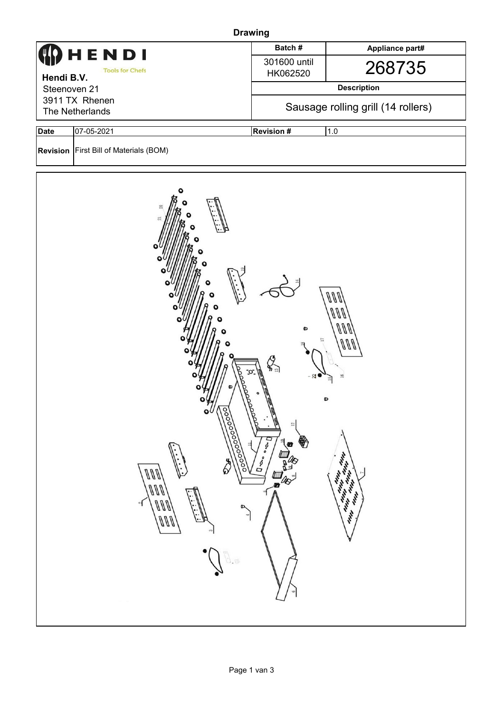| <b>Drawing</b>                    |                                                                                                                                                                                                                                                                                                                                                                                                                                                 |                                    |                 |  |  |  |  |  |
|-----------------------------------|-------------------------------------------------------------------------------------------------------------------------------------------------------------------------------------------------------------------------------------------------------------------------------------------------------------------------------------------------------------------------------------------------------------------------------------------------|------------------------------------|-----------------|--|--|--|--|--|
|                                   | HENDI                                                                                                                                                                                                                                                                                                                                                                                                                                           | Batch#                             | Appliance part# |  |  |  |  |  |
| Hendi B.V.                        | <b>Tools for Chefs</b>                                                                                                                                                                                                                                                                                                                                                                                                                          | 301600 until<br>HK062520           | 268735          |  |  |  |  |  |
| Steenoven 21                      |                                                                                                                                                                                                                                                                                                                                                                                                                                                 | <b>Description</b>                 |                 |  |  |  |  |  |
| 3911 TX Rhenen<br>The Netherlands |                                                                                                                                                                                                                                                                                                                                                                                                                                                 | Sausage rolling grill (14 rollers) |                 |  |  |  |  |  |
| <b>Date</b>                       | 07-05-2021                                                                                                                                                                                                                                                                                                                                                                                                                                      | <b>Revision #</b>                  | 1.0             |  |  |  |  |  |
|                                   | <b>Revision</b> First Bill of Materials (BOM)                                                                                                                                                                                                                                                                                                                                                                                                   |                                    |                 |  |  |  |  |  |
|                                   | $\ell$<br>ะ<br>OOO<br>$\mathcal{L}_{\mathbb{R}}$<br>$\sim$<br>o<br>$\mathbf{o} \mathcal{U} \mathcal{N}$<br>lapp<br>$\overline{\mathbb{S}}$<br>♦<br>$D \cdot o \cdot o$<br>$\mathbb{R}^{\mathbb{P}}$<br>╕<br>$\overline{\mathbf{U}}$ . $\mathbf{O}_{\bullet\bullet}$<br><b>PARTIES</b><br>\$<br>ann<br>Ø<br>ann<br>A<br>$\mathfrak{g}$<br>$\ell\ell\ell$<br>ন<br>D,<br>in.<br>$\rightarrow$<br>$\cdot$<br>ann<br>$\ddot{\cdot}$<br>$G^{\bullet}$ |                                    |                 |  |  |  |  |  |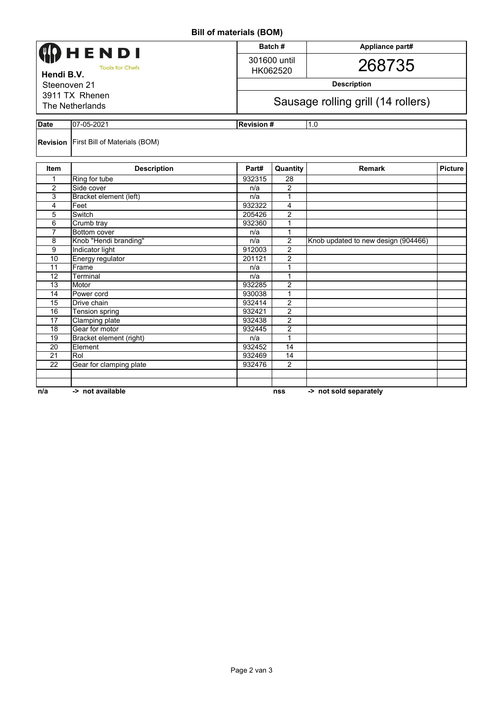**Bill of materials (BOM)**

| <b>DIII OI IIIALETIAIS (DUNI)</b>    |                                               |        |                                    |                                     |                |  |  |  |
|--------------------------------------|-----------------------------------------------|--------|------------------------------------|-------------------------------------|----------------|--|--|--|
| HENDI                                |                                               |        | Batch#                             | Appliance part#                     |                |  |  |  |
|                                      |                                               |        | 301600 until                       |                                     |                |  |  |  |
| <b>Tools for Chefs</b><br>Hendi B.V. |                                               |        | HK062520                           | 268735                              |                |  |  |  |
| Steenoven 21                         |                                               |        | <b>Description</b>                 |                                     |                |  |  |  |
| 3911 TX Rhenen                       |                                               |        |                                    |                                     |                |  |  |  |
| The Netherlands                      |                                               |        | Sausage rolling grill (14 rollers) |                                     |                |  |  |  |
| <b>Date</b><br>07-05-2021            |                                               |        | 1.0<br><b>Revision#</b>            |                                     |                |  |  |  |
|                                      | <b>Revision</b> First Bill of Materials (BOM) |        |                                    |                                     |                |  |  |  |
| Item                                 | <b>Description</b>                            | Part#  | Quantity                           | Remark                              | <b>Picture</b> |  |  |  |
| 1                                    | Ring for tube                                 | 932315 | 28                                 |                                     |                |  |  |  |
| $\overline{2}$                       | Side cover                                    | n/a    | 2                                  |                                     |                |  |  |  |
| 3                                    | Bracket element (left)                        | n/a    | 1                                  |                                     |                |  |  |  |
| 4                                    | Feet                                          | 932322 | 4                                  |                                     |                |  |  |  |
| 5                                    | Switch                                        | 205426 | $\overline{2}$                     |                                     |                |  |  |  |
| 6                                    | Crumb tray                                    | 932360 | 1                                  |                                     |                |  |  |  |
| $\overline{7}$                       | Bottom cover                                  | n/a    | 1                                  |                                     |                |  |  |  |
| 8                                    | Knob "Hendi branding"                         | n/a    | $\overline{2}$                     | Knob updated to new design (904466) |                |  |  |  |
| 9                                    | Indicator light                               | 912003 | $\overline{2}$                     |                                     |                |  |  |  |
| 10                                   | Energy regulator                              | 201121 | $\overline{2}$                     |                                     |                |  |  |  |
| 11                                   | Frame                                         | n/a    | $\mathbf 1$                        |                                     |                |  |  |  |
| 12                                   | Terminal                                      | n/a    | 1                                  |                                     |                |  |  |  |
| $\overline{13}$                      | Motor                                         | 932285 | $\overline{2}$                     |                                     |                |  |  |  |
| 14                                   | Power cord                                    | 930038 | $\mathbf{1}$                       |                                     |                |  |  |  |
| 15                                   | Drive chain                                   | 932414 | $\overline{2}$                     |                                     |                |  |  |  |
| 16                                   | Tension spring                                | 932421 | $\overline{2}$                     |                                     |                |  |  |  |
| 17                                   | Clamping plate                                | 932438 | $\overline{2}$                     |                                     |                |  |  |  |
| 18                                   | Gear for motor                                | 932445 | 2                                  |                                     |                |  |  |  |
| $\overline{19}$                      | Bracket element (right)                       | n/a    | 1                                  |                                     |                |  |  |  |
| $\overline{20}$                      | Element                                       | 932452 | $\overline{14}$                    |                                     |                |  |  |  |
| 21                                   | Rol                                           | 932469 | 14                                 |                                     |                |  |  |  |
| $\overline{22}$                      | Gear for clamping plate                       | 932476 | $\overline{2}$                     |                                     |                |  |  |  |
|                                      |                                               |        |                                    |                                     |                |  |  |  |
|                                      |                                               |        |                                    |                                     |                |  |  |  |
| n/a                                  | -> not available                              |        | nss                                | -> not sold separately              |                |  |  |  |